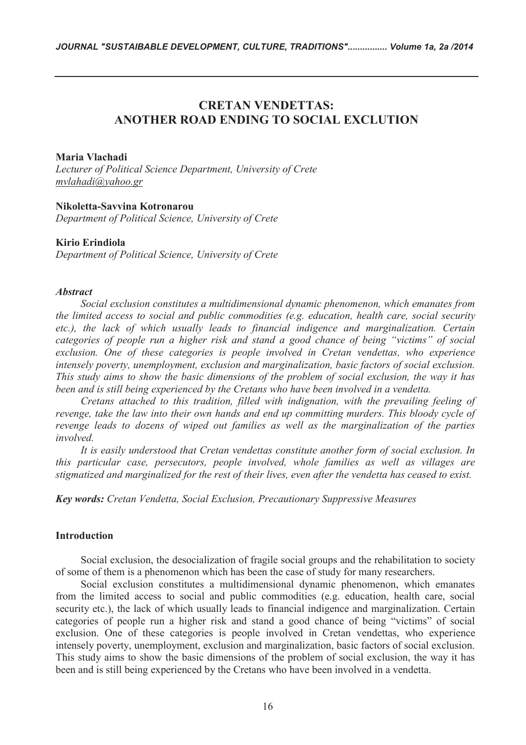# **CRETAN VENDETTAS: ANOTHER ROAD ENDING TO SOCIAL EXCLUTION**

### **Maria Vlachadi**

*Lecturer of Political Science Department, University of Crete mvlahadi@yahoo.gr*

### **Nikoletta-Savvina Kotronarou**

*Department of Political Science, University of Crete* 

#### **Kirio Erindiola**

*Department of Political Science, University of Crete*

### *Abstract*

*Social exclusion constitutes a multidimensional dynamic phenomenon, which emanates from the limited access to social and public commodities (e.g. education, health care, social security etc.), the lack of which usually leads to financial indigence and marginalization. Certain categories of people run a higher risk and stand a good chance of being "victims" of social*  exclusion. One of these categories is people involved in Cretan vendettas, who experience *intensely poverty, unemployment, exclusion and marginalization, basic factors of social exclusion. This study aims to show the basic dimensions of the problem of social exclusion, the way it has been and is still being experienced by the Cretans who have been involved in a vendetta.* 

*Cretans attached to this tradition, filled with indignation, with the prevailing feeling of revenge, take the law into their own hands and end up committing murders. This bloody cycle of revenge leads to dozens of wiped out families as well as the marginalization of the parties involved.* 

*Ιt is easily understood that Cretan vendettas constitute another form of social exclusion. In this particular case, persecutors, people involved, whole families as well as villages are stigmatized and marginalized for the rest of their lives, even after the vendetta has ceased to exist.* 

*Key words: Cretan Vendetta, Social Exclusion, Precautionary Suppressive Measures* 

### **Introduction**

Social exclusion, the desocialization of fragile social groups and the rehabilitation to society of some of them is a phenomenon which has been the case of study for many researchers.

Social exclusion constitutes a multidimensional dynamic phenomenon, which emanates from the limited access to social and public commodities (e.g. education, health care, social security etc.), the lack of which usually leads to financial indigence and marginalization. Certain categories of people run a higher risk and stand a good chance of being "victims" of social exclusion. One of these categories is people involved in Cretan vendettas, who experience intensely poverty, unemployment, exclusion and marginalization, basic factors of social exclusion. This study aims to show the basic dimensions of the problem of social exclusion, the way it has been and is still being experienced by the Cretans who have been involved in a vendetta.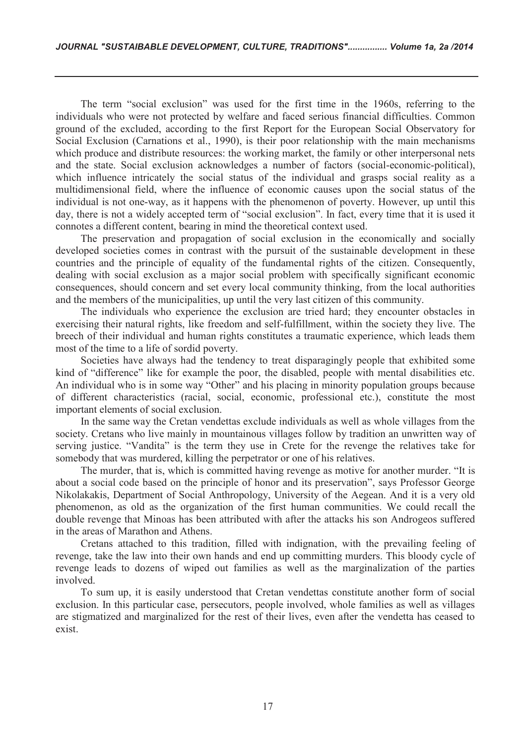The term "social exclusion" was used for the first time in the 1960s, referring to the individuals who were not protected by welfare and faced serious financial difficulties. Common ground of the excluded, according to the first Report for the European Social Observatory for Social Exclusion (Carnations et al., 1990), is their poor relationship with the main mechanisms which produce and distribute resources: the working market, the family or other interpersonal nets and the state. Social exclusion acknowledges a number of factors (social-economic-political), which influence intricately the social status of the individual and grasps social reality as a multidimensional field, where the influence of economic causes upon the social status of the individual is not one-way, as it happens with the phenomenon of poverty. However, up until this day, there is not a widely accepted term of "social exclusion". In fact, every time that it is used it connotes a different content, bearing in mind the theoretical context used.

The preservation and propagation of social exclusion in the economically and socially developed societies comes in contrast with the pursuit of the sustainable development in these countries and the principle of equality of the fundamental rights of the citizen. Consequently, dealing with social exclusion as a major social problem with specifically significant economic consequences, should concern and set every local community thinking, from the local authorities and the members of the municipalities, up until the very last citizen of this community.

The individuals who experience the exclusion are tried hard; they encounter obstacles in exercising their natural rights, like freedom and self-fulfillment, within the society they live. The breech of their individual and human rights constitutes a traumatic experience, which leads them most of the time to a life of sordid poverty.

Societies have always had the tendency to treat disparagingly people that exhibited some kind of "difference" like for example the poor, the disabled, people with mental disabilities etc. An individual who is in some way "Other" and his placing in minority population groups because of different characteristics (racial, social, economic, professional etc.), constitute the most important elements of social exclusion.

In the same way the Cretan vendettas exclude individuals as well as whole villages from the society. Cretans who live mainly in mountainous villages follow by tradition an unwritten way of serving justice. "Vandita" is the term they use in Crete for the revenge the relatives take for somebody that was murdered, killing the perpetrator or one of his relatives.

The murder, that is, which is committed having revenge as motive for another murder. "It is about a social code based on the principle of honor and its preservation", says Professor George Nikolakakis, Department of Social Anthropology, University of the Aegean. And it is a very old phenomenon, as old as the organization of the first human communities. We could recall the double revenge that Minoas has been attributed with after the attacks his son Androgeos suffered in the areas of Marathon and Athens.

Cretans attached to this tradition, filled with indignation, with the prevailing feeling of revenge, take the law into their own hands and end up committing murders. This bloody cycle of revenge leads to dozens of wiped out families as well as the marginalization of the parties involved.

To sum up, it is easily understood that Cretan vendettas constitute another form of social exclusion. In this particular case, persecutors, people involved, whole families as well as villages are stigmatized and marginalized for the rest of their lives, even after the vendetta has ceased to exist.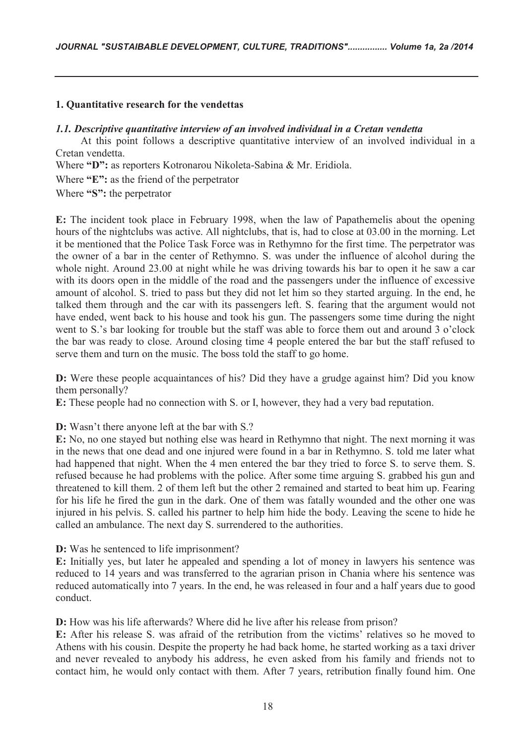# **1. Quantitative research for the vendettas**

# *1.1. Descriptive quantitative interview of an involved individual in a Cretan vendetta*

At this point follows a descriptive quantitative interview of an involved individual in a Cretan vendetta.

Where **"D":** as reporters Kotronarou Nikoleta-Sabina & Mr. Eridiola.

Where **"E":** as the friend of the perpetrator

Where **"S":** the perpetrator

**E:** The incident took place in February 1998, when the law of Papathemelis about the opening hours of the nightclubs was active. All nightclubs, that is, had to close at 03.00 in the morning. Let it be mentioned that the Police Task Force was in Rethymno for the first time. The perpetrator was the owner of a bar in the center of Rethymno. S. was under the influence of alcohol during the whole night. Around 23.00 at night while he was driving towards his bar to open it he saw a car with its doors open in the middle of the road and the passengers under the influence of excessive amount of alcohol. S. tried to pass but they did not let him so they started arguing. In the end, he talked them through and the car with its passengers left. S. fearing that the argument would not have ended, went back to his house and took his gun. The passengers some time during the night went to S.'s bar looking for trouble but the staff was able to force them out and around 3 o'clock the bar was ready to close. Around closing time 4 people entered the bar but the staff refused to serve them and turn on the music. The boss told the staff to go home.

**D:** Were these people acquaintances of his? Did they have a grudge against him? Did you know them personally?

**E:** These people had no connection with S. or I, however, they had a very bad reputation.

**D:** Wasn't there anyone left at the bar with S.?

**E:** No, no one stayed but nothing else was heard in Rethymno that night. The next morning it was in the news that one dead and one injured were found in a bar in Rethymno. S. told me later what had happened that night. When the 4 men entered the bar they tried to force S. to serve them. S. refused because he had problems with the police. After some time arguing S. grabbed his gun and threatened to kill them. 2 of them left but the other 2 remained and started to beat him up. Fearing for his life he fired the gun in the dark. One of them was fatally wounded and the other one was injured in his pelvis. S. called his partner to help him hide the body. Leaving the scene to hide he called an ambulance. The next day S. surrendered to the authorities.

**D:** Was he sentenced to life imprisonment?

**E:** Initially yes, but later he appealed and spending a lot of money in lawyers his sentence was reduced to 14 years and was transferred to the agrarian prison in Chania where his sentence was reduced automatically into 7 years. In the end, he was released in four and a half years due to good conduct.

**D:** How was his life afterwards? Where did he live after his release from prison?

**E:** After his release S. was afraid of the retribution from the victims' relatives so he moved to Athens with his cousin. Despite the property he had back home, he started working as a taxi driver and never revealed to anybody his address, he even asked from his family and friends not to contact him, he would only contact with them. After 7 years, retribution finally found him. One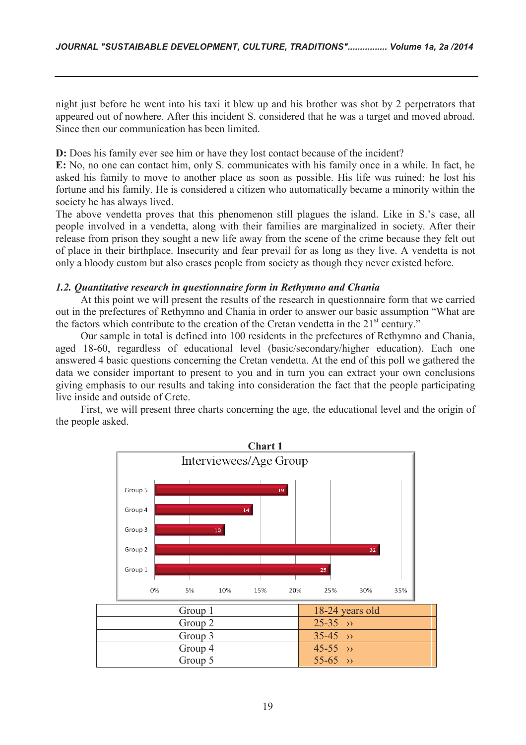night just before he went into his taxi it blew up and his brother was shot by 2 perpetrators that appeared out of nowhere. After this incident S. considered that he was a target and moved abroad. Since then our communication has been limited.

**D:** Does his family ever see him or have they lost contact because of the incident?

**E:** No, no one can contact him, only S. communicates with his family once in a while. In fact, he asked his family to move to another place as soon as possible. His life was ruined; he lost his fortune and his family. He is considered a citizen who automatically became a minority within the society he has always lived.

The above vendetta proves that this phenomenon still plagues the island. Like in S.'s case, all people involved in a vendetta, along with their families are marginalized in society. After their release from prison they sought a new life away from the scene of the crime because they felt out of place in their birthplace. Insecurity and fear prevail for as long as they live. A vendetta is not only a bloody custom but also erases people from society as though they never existed before.

### *1.2. Quantitative research in questionnaire form in Rethymno and Chania*

At this point we will present the results of the research in questionnaire form that we carried out in the prefectures of Rethymno and Chania in order to answer our basic assumption "What are the factors which contribute to the creation of the Cretan vendetta in the  $21<sup>st</sup>$  century."

Our sample in total is defined into 100 residents in the prefectures of Rethymno and Chania, aged 18-60, regardless of educational level (basic/secondary/higher education). Each one answered 4 basic questions concerning the Cretan vendetta. At the end of this poll we gathered the data we consider important to present to you and in turn you can extract your own conclusions giving emphasis to our results and taking into consideration the fact that the people participating live inside and outside of Crete.

First, we will present three charts concerning the age, the educational level and the origin of the people asked.

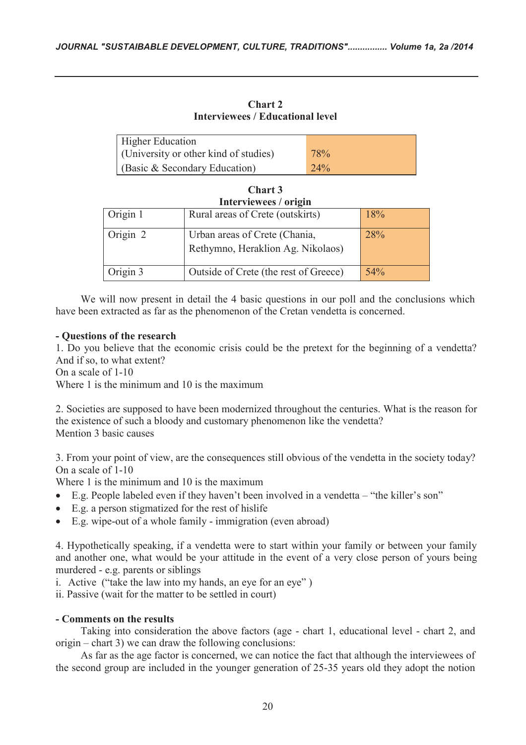**Chart 2 Interviewees / Educational level** 

| <b>Higher Education</b>               |     |
|---------------------------------------|-----|
| (University or other kind of studies) | 78% |
| (Basic & Secondary Education)         | 24% |

**Chart 3**

| Interviewees / origin |                                                                    |     |  |
|-----------------------|--------------------------------------------------------------------|-----|--|
| Origin 1              | Rural areas of Crete (outskirts)                                   | 18% |  |
| Origin 2              | Urban areas of Crete (Chania,<br>Rethymno, Heraklion Ag. Nikolaos) | 28% |  |
| Origin 3              | Outside of Crete (the rest of Greece)                              | 54% |  |

We will now present in detail the 4 basic questions in our poll and the conclusions which have been extracted as far as the phenomenon of the Cretan vendetta is concerned.

# **- Questions of the research**

1. Do you believe that the economic crisis could be the pretext for the beginning of a vendetta? And if so, to what extent?

On a scale of 1-10

Where 1 is the minimum and 10 is the maximum

2. Societies are supposed to have been modernized throughout the centuries. What is the reason for the existence of such a bloody and customary phenomenon like the vendetta? Mention 3 basic causes

3. From your point of view, are the consequences still obvious of the vendetta in the society today? On a scale of 1-10

Where 1 is the minimum and 10 is the maximum

- · E.g. People labeled even if they haven't been involved in a vendetta "the killer's son"
- · E.g. a person stigmatized for the rest of hislife
- · E.g. wipe-out of a whole family immigration (even abroad)

4. Hypothetically speaking, if a vendetta were to start within your family or between your family and another one, what would be your attitude in the event of a very close person of yours being murdered - e.g. parents or siblings

i. Active ("take the law into my hands, an eye for an eye" )

ii. Passive (wait for the matter to be settled in court)

# **- Comments on the results**

Taking into consideration the above factors (age - chart 1, educational level - chart 2, and origin – chart 3) we can draw the following conclusions:

As far as the age factor is concerned, we can notice the fact that although the interviewees of the second group are included in the younger generation of 25-35 years old they adopt the notion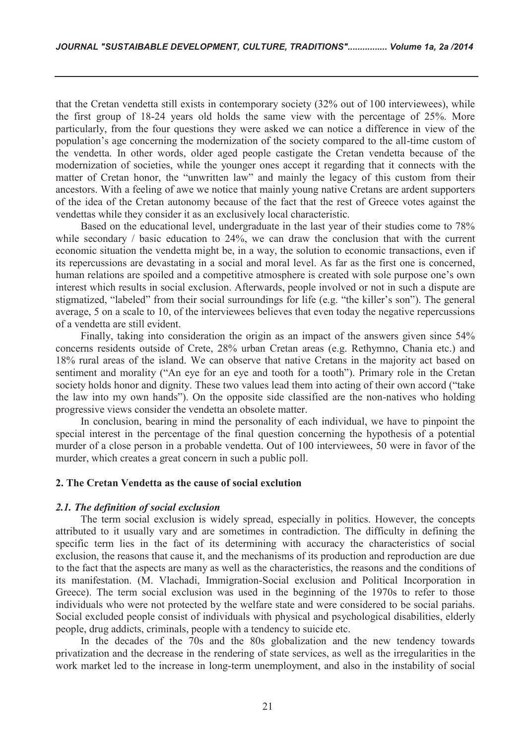that the Cretan vendetta still exists in contemporary society (32% out of 100 interviewees), while the first group of 18-24 years old holds the same view with the percentage of 25%. More particularly, from the four questions they were asked we can notice a difference in view of the population's age concerning the modernization of the society compared to the all-time custom of the vendetta. In other words, older aged people castigate the Cretan vendetta because of the modernization of societies, while the younger ones accept it regarding that it connects with the matter of Cretan honor, the "unwritten law" and mainly the legacy of this custom from their ancestors. With a feeling of awe we notice that mainly young native Cretans are ardent supporters of the idea of the Cretan autonomy because of the fact that the rest of Greece votes against the vendettas while they consider it as an exclusively local characteristic.

Based on the educational level, undergraduate in the last year of their studies come to 78% while secondary / basic education to 24%, we can draw the conclusion that with the current economic situation the vendetta might be, in a way, the solution to economic transactions, even if its repercussions are devastating in a social and moral level. As far as the first one is concerned, human relations are spoiled and a competitive atmosphere is created with sole purpose one's own interest which results in social exclusion. Afterwards, people involved or not in such a dispute are stigmatized, "labeled" from their social surroundings for life (e.g. "the killer's son"). The general average, 5 on a scale to 10, of the interviewees believes that even today the negative repercussions of a vendetta are still evident.

Finally, taking into consideration the origin as an impact of the answers given since 54% concerns residents outside of Crete, 28% urban Cretan areas (e.g. Rethymno, Chania etc.) and 18% rural areas of the island. We can observe that native Cretans in the majority act based on sentiment and morality ("An eye for an eye and tooth for a tooth"). Primary role in the Cretan society holds honor and dignity. These two values lead them into acting of their own accord ("take the law into my own hands"). On the opposite side classified are the non-natives who holding progressive views consider the vendetta an obsolete matter.

In conclusion, bearing in mind the personality of each individual, we have to pinpoint the special interest in the percentage of the final question concerning the hypothesis of a potential murder of a close person in a probable vendetta. Out of 100 interviewees, 50 were in favor of the murder, which creates a great concern in such a public poll.

### **2. The Cretan Vendetta as the cause of social exclution**

#### *2.1. The definition of social exclusion*

The term social exclusion is widely spread, especially in politics. However, the concepts attributed to it usually vary and are sometimes in contradiction. The difficulty in defining the specific term lies in the fact of its determining with accuracy the characteristics of social exclusion, the reasons that cause it, and the mechanisms of its production and reproduction are due to the fact that the aspects are many as well as the characteristics, the reasons and the conditions of its manifestation. (M. Vlachadi, Immigration-Social exclusion and Political Incorporation in Greece). The term social exclusion was used in the beginning of the 1970s to refer to those individuals who were not protected by the welfare state and were considered to be social pariahs. Social excluded people consist of individuals with physical and psychological disabilities, elderly people, drug addicts, criminals, people with a tendency to suicide etc.

In the decades of the 70s and the 80s globalization and the new tendency towards privatization and the decrease in the rendering of state services, as well as the irregularities in the work market led to the increase in long-term unemployment, and also in the instability of social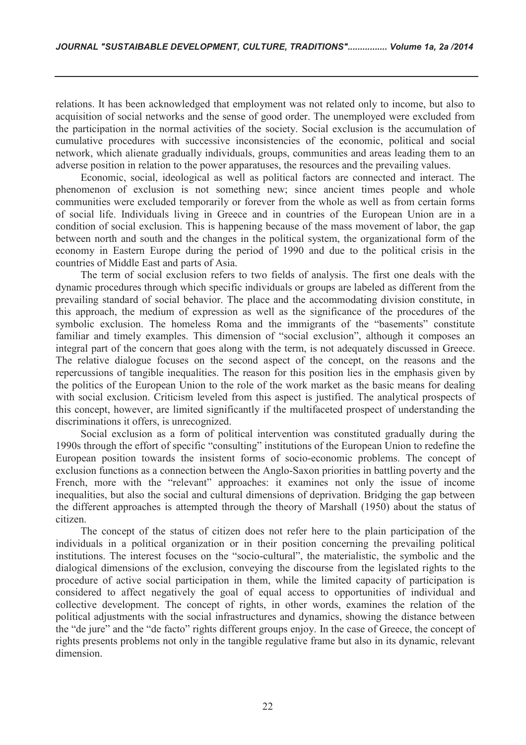relations. It has been acknowledged that employment was not related only to income, but also to acquisition of social networks and the sense of good order. The unemployed were excluded from the participation in the normal activities of the society. Social exclusion is the accumulation of cumulative procedures with successive inconsistencies of the economic, political and social network, which alienate gradually individuals, groups, communities and areas leading them to an adverse position in relation to the power apparatuses, the resources and the prevailing values.

Economic, social, ideological as well as political factors are connected and interact. The phenomenon of exclusion is not something new; since ancient times people and whole communities were excluded temporarily or forever from the whole as well as from certain forms of social life. Individuals living in Greece and in countries of the European Union are in a condition of social exclusion. This is happening because of the mass movement of labor, the gap between north and south and the changes in the political system, the organizational form of the economy in Eastern Europe during the period of 1990 and due to the political crisis in the countries of Middle East and parts of Asia.

The term of social exclusion refers to two fields of analysis. The first one deals with the dynamic procedures through which specific individuals or groups are labeled as different from the prevailing standard of social behavior. The place and the accommodating division constitute, in this approach, the medium of expression as well as the significance of the procedures of the symbolic exclusion. The homeless Roma and the immigrants of the "basements" constitute familiar and timely examples. This dimension of "social exclusion", although it composes an integral part of the concern that goes along with the term, is not adequately discussed in Greece. The relative dialogue focuses on the second aspect of the concept, on the reasons and the repercussions of tangible inequalities. The reason for this position lies in the emphasis given by the politics of the European Union to the role of the work market as the basic means for dealing with social exclusion. Criticism leveled from this aspect is justified. The analytical prospects of this concept, however, are limited significantly if the multifaceted prospect of understanding the discriminations it offers, is unrecognized.

Social exclusion as a form of political intervention was constituted gradually during the 1990s through the effort of specific "consulting" institutions of the European Union to redefine the European position towards the insistent forms of socio-economic problems. The concept of exclusion functions as a connection between the Anglo-Saxon priorities in battling poverty and the French, more with the "relevant" approaches: it examines not only the issue of income inequalities, but also the social and cultural dimensions of deprivation. Bridging the gap between the different approaches is attempted through the theory of Marshall (1950) about the status of citizen.

The concept of the status of citizen does not refer here to the plain participation of the individuals in a political organization or in their position concerning the prevailing political institutions. The interest focuses on the "socio-cultural", the materialistic, the symbolic and the dialogical dimensions of the exclusion, conveying the discourse from the legislated rights to the procedure of active social participation in them, while the limited capacity of participation is considered to affect negatively the goal of equal access to opportunities of individual and collective development. The concept of rights, in other words, examines the relation of the political adjustments with the social infrastructures and dynamics, showing the distance between the "de jure" and the "de facto" rights different groups enjoy. In the case of Greece, the concept of rights presents problems not only in the tangible regulative frame but also in its dynamic, relevant dimension.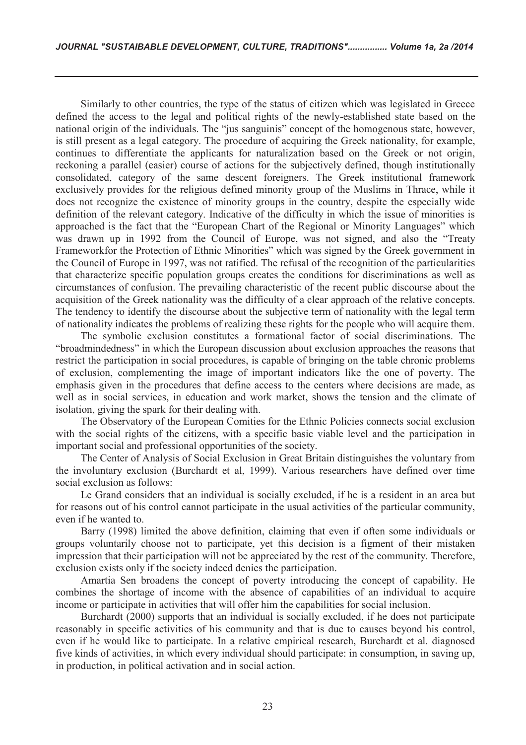Similarly to other countries, the type of the status of citizen which was legislated in Greece defined the access to the legal and political rights of the newly-established state based on the national origin of the individuals. The "jus sanguinis" concept of the homogenous state, however, is still present as a legal category. The procedure of acquiring the Greek nationality, for example, continues to differentiate the applicants for naturalization based on the Greek or not origin, reckoning a parallel (easier) course of actions for the subjectively defined, though institutionally consolidated, category of the same descent foreigners. The Greek institutional framework exclusively provides for the religious defined minority group of the Muslims in Thrace, while it does not recognize the existence of minority groups in the country, despite the especially wide definition of the relevant category. Indicative of the difficulty in which the issue of minorities is approached is the fact that the "European Chart of the Regional or Minority Languages" which was drawn up in 1992 from the Council of Europe, was not signed, and also the "Treaty Frameworkfor the Protection of Ethnic Minorities" which was signed by the Greek government in the Council of Europe in 1997, was not ratified. The refusal of the recognition of the particularities that characterize specific population groups creates the conditions for discriminations as well as circumstances of confusion. The prevailing characteristic of the recent public discourse about the acquisition of the Greek nationality was the difficulty of a clear approach of the relative concepts. The tendency to identify the discourse about the subjective term of nationality with the legal term of nationality indicates the problems of realizing these rights for the people who will acquire them.

The symbolic exclusion constitutes a formational factor of social discriminations. The "broadmindedness" in which the European discussion about exclusion approaches the reasons that restrict the participation in social procedures, is capable of bringing on the table chronic problems of exclusion, complementing the image of important indicators like the one of poverty. The emphasis given in the procedures that define access to the centers where decisions are made, as well as in social services, in education and work market, shows the tension and the climate of isolation, giving the spark for their dealing with.

The Observatory of the European Comities for the Ethnic Policies connects social exclusion with the social rights of the citizens, with a specific basic viable level and the participation in important social and professional opportunities of the society.

The Center of Analysis of Social Exclusion in Great Britain distinguishes the voluntary from the involuntary exclusion (Burchardt et al, 1999). Various researchers have defined over time social exclusion as follows:

Le Grand considers that an individual is socially excluded, if he is a resident in an area but for reasons out of his control cannot participate in the usual activities of the particular community, even if he wanted to.

Barry (1998) limited the above definition, claiming that even if often some individuals or groups voluntarily choose not to participate, yet this decision is a figment of their mistaken impression that their participation will not be appreciated by the rest of the community. Therefore, exclusion exists only if the society indeed denies the participation.

Amartia Sen broadens the concept of poverty introducing the concept of capability. He combines the shortage of income with the absence of capabilities of an individual to acquire income or participate in activities that will offer him the capabilities for social inclusion.

Burchardt (2000) supports that an individual is socially excluded, if he does not participate reasonably in specific activities of his community and that is due to causes beyond his control, even if he would like to participate. In a relative empirical research, Burchardt et al. diagnosed five kinds of activities, in which every individual should participate: in consumption, in saving up, in production, in political activation and in social action.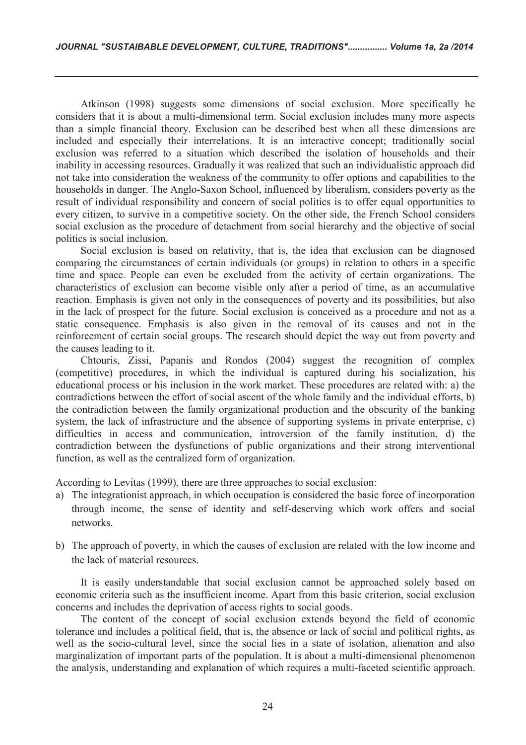Atkinson (1998) suggests some dimensions of social exclusion. More specifically he considers that it is about a multi-dimensional term. Social exclusion includes many more aspects than a simple financial theory. Exclusion can be described best when all these dimensions are included and especially their interrelations. It is an interactive concept; traditionally social exclusion was referred to a situation which described the isolation of households and their inability in accessing resources. Gradually it was realized that such an individualistic approach did not take into consideration the weakness of the community to offer options and capabilities to the households in danger. The Anglo-Saxon School, influenced by liberalism, considers poverty as the result of individual responsibility and concern of social politics is to offer equal opportunities to every citizen, to survive in a competitive society. On the other side, the French School considers social exclusion as the procedure of detachment from social hierarchy and the objective of social politics is social inclusion.

Social exclusion is based on relativity, that is, the idea that exclusion can be diagnosed comparing the circumstances of certain individuals (or groups) in relation to others in a specific time and space. People can even be excluded from the activity of certain organizations. The characteristics of exclusion can become visible only after a period of time, as an accumulative reaction. Emphasis is given not only in the consequences of poverty and its possibilities, but also in the lack of prospect for the future. Social exclusion is conceived as a procedure and not as a static consequence. Emphasis is also given in the removal of its causes and not in the reinforcement of certain social groups. The research should depict the way out from poverty and the causes leading to it.

Chtouris, Zissi, Papanis and Rondos (2004) suggest the recognition of complex (competitive) procedures, in which the individual is captured during his socialization, his educational process or his inclusion in the work market. These procedures are related with: a) the contradictions between the effort of social ascent of the whole family and the individual efforts, b) the contradiction between the family organizational production and the obscurity of the banking system, the lack of infrastructure and the absence of supporting systems in private enterprise, c) difficulties in access and communication, introversion of the family institution, d) the contradiction between the dysfunctions of public organizations and their strong interventional function, as well as the centralized form of organization.

According to Levitas (1999), there are three approaches to social exclusion:

- a) The integrationist approach, in which occupation is considered the basic force of incorporation through income, the sense of identity and self-deserving which work offers and social networks.
- b) The approach of poverty, in which the causes of exclusion are related with the low income and the lack of material resources.

It is easily understandable that social exclusion cannot be approached solely based on economic criteria such as the insufficient income. Apart from this basic criterion, social exclusion concerns and includes the deprivation of access rights to social goods.

The content of the concept of social exclusion extends beyond the field of economic tolerance and includes a political field, that is, the absence or lack of social and political rights, as well as the socio-cultural level, since the social lies in a state of isolation, alienation and also marginalization of important parts of the population. It is about a multi-dimensional phenomenon the analysis, understanding and explanation of which requires a multi-faceted scientific approach.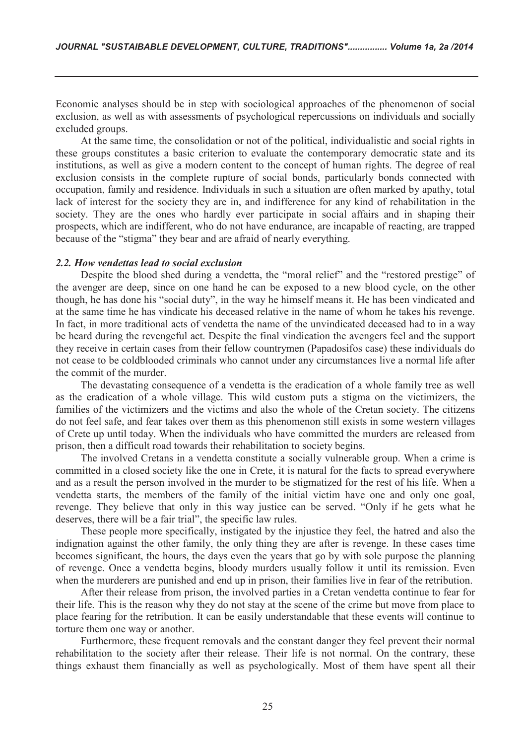Economic analyses should be in step with sociological approaches of the phenomenon of social exclusion, as well as with assessments of psychological repercussions on individuals and socially excluded groups.

At the same time, the consolidation or not of the political, individualistic and social rights in these groups constitutes a basic criterion to evaluate the contemporary democratic state and its institutions, as well as give a modern content to the concept of human rights. The degree of real exclusion consists in the complete rupture of social bonds, particularly bonds connected with occupation, family and residence. Individuals in such a situation are often marked by apathy, total lack of interest for the society they are in, and indifference for any kind of rehabilitation in the society. They are the ones who hardly ever participate in social affairs and in shaping their prospects, which are indifferent, who do not have endurance, are incapable of reacting, are trapped because of the "stigma" they bear and are afraid of nearly everything.

### *2.2. How vendettas lead to social exclusion*

Despite the blood shed during a vendetta, the "moral relief" and the "restored prestige" of the avenger are deep, since on one hand he can be exposed to a new blood cycle, on the other though, he has done his "social duty", in the way he himself means it. He has been vindicated and at the same time he has vindicate his deceased relative in the name of whom he takes his revenge. In fact, in more traditional acts of vendetta the name of the unvindicated deceased had to in a way be heard during the revengeful act. Despite the final vindication the avengers feel and the support they receive in certain cases from their fellow countrymen (Papadosifos case) these individuals do not cease to be coldblooded criminals who cannot under any circumstances live a normal life after the commit of the murder.

The devastating consequence of a vendetta is the eradication of a whole family tree as well as the eradication of a whole village. This wild custom puts a stigma on the victimizers, the families of the victimizers and the victims and also the whole of the Cretan society. The citizens do not feel safe, and fear takes over them as this phenomenon still exists in some western villages of Crete up until today. When the individuals who have committed the murders are released from prison, then a difficult road towards their rehabilitation to society begins.

The involved Cretans in a vendetta constitute a socially vulnerable group. When a crime is committed in a closed society like the one in Crete, it is natural for the facts to spread everywhere and as a result the person involved in the murder to be stigmatized for the rest of his life. When a vendetta starts, the members of the family of the initial victim have one and only one goal, revenge. They believe that only in this way justice can be served. "Only if he gets what he deserves, there will be a fair trial", the specific law rules.

These people more specifically, instigated by the injustice they feel, the hatred and also the indignation against the other family, the only thing they are after is revenge. In these cases time becomes significant, the hours, the days even the years that go by with sole purpose the planning of revenge. Once a vendetta begins, bloody murders usually follow it until its remission. Even when the murderers are punished and end up in prison, their families live in fear of the retribution.

After their release from prison, the involved parties in a Cretan vendetta continue to fear for their life. This is the reason why they do not stay at the scene of the crime but move from place to place fearing for the retribution. It can be easily understandable that these events will continue to torture them one way or another.

Furthermore, these frequent removals and the constant danger they feel prevent their normal rehabilitation to the society after their release. Their life is not normal. On the contrary, these things exhaust them financially as well as psychologically. Most of them have spent all their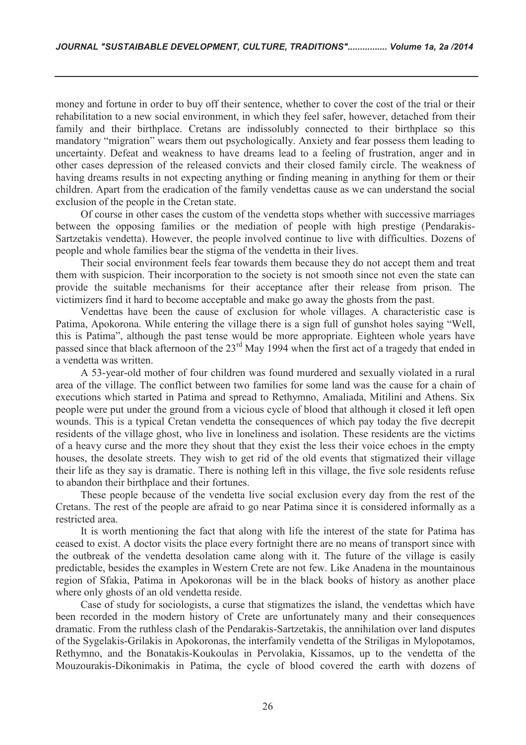money and fortune in order to buy off their sentence, whether to cover the cost of the trial or their rehabilitation to a new social environment, in which they feel safer, however, detached from their family and their birthplace. Cretans are indissolubly connected to their birthplace so this mandatory "migration" wears them out psychologically. Anxiety and fear possess them leading to uncertainty. Defeat and weakness to have dreams lead to a feeling of frustration, anger and in other cases depression of the released convicts and their closed family circle. The weakness of having dreams results in not expecting anything or finding meaning in anything for them or their children. Apart from the eradication of the family vendettas cause as we can understand the social exclusion of the people in the Cretan state.

Of course in other cases the custom of the vendetta stops whether with successive marriages between the opposing families or the mediation of people with high prestige (Pendarakis-Sartzetakis vendetta). However, the people involved continue to live with difficulties. Dozens of people and whole families bear the stigma of the vendetta in their lives.

Their social environment feels fear towards them because they do not accept them and treat them with suspicion. Their incorporation to the society is not smooth since not even the state can provide the suitable mechanisms for their acceptance after their release from prison. The victimizers find it hard to become acceptable and make go away the ghosts from the past.

Vendettas have been the cause of exclusion for whole villages. A characteristic case is Patima, Apokorona. While entering the village there is a sign full of gunshot holes saying "Well, this is Patima", although the past tense would be more appropriate. Eighteen whole years have passed since that black afternoon of the 23<sup>rd</sup> May 1994 when the first act of a tragedy that ended in a vendetta was written.

A 53-year-old mother of four children was found murdered and sexually violated in a rural area of the village. The conflict between two families for some land was the cause for a chain of executions which started in Patima and spread to Rethymno, Amaliada, Mitilini and Athens. Six people were put under the ground from a vicious cycle of blood that although it closed it left open wounds. This is a typical Cretan vendetta the consequences of which pay today the five decrepit residents of the village ghost, who live in loneliness and isolation. These residents are the victims of a heavy curse and the more they shout that they exist the less their voice echoes in the empty houses, the desolate streets. They wish to get rid of the old events that stigmatized their village their life as they say is dramatic. There is nothing left in this village, the five sole residents refuse to abandon their birthplace and their fortunes.

These people because of the vendetta live social exclusion every day from the rest of the Cretans. The rest of the people are afraid to go near Patima since it is considered informally as a restricted area.

It is worth mentioning the fact that along with life the interest of the state for Patima has ceased to exist. A doctor visits the place every fortnight there are no means of transport since with the outbreak of the vendetta desolation came along with it. The future of the village is easily predictable, besides the examples in Western Crete are not few. Like Anadena in the mountainous region of Sfakia, Patima in Apokoronas will be in the black books of history as another place where only ghosts of an old vendetta reside.

Case of study for sociologists, a curse that stigmatizes the island, the vendettas which have been recorded in the modern history of Crete are unfortunately many and their consequences dramatic. From the ruthless clash of the Pendarakis-Sartzetakis, the annihilation over land disputes of the Sygelakis-Grilakis in Apokoronas, the interfamily vendetta of the Striligas in Mylopotamos, Rethymno, and the Bonatakis-Koukoulas in Pervolakia, Kissamos, up to the vendetta of the Mouzourakis-Dikonimakis in Patima, the cycle of blood covered the earth with dozens of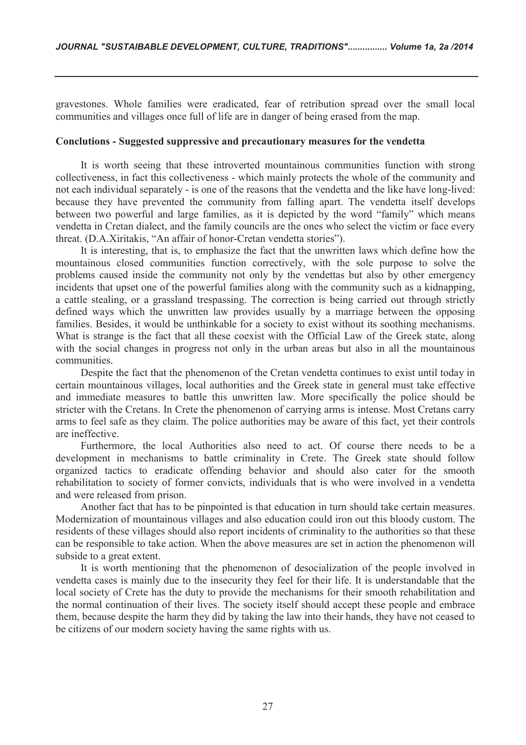gravestones. Whole families were eradicated, fear of retribution spread over the small local communities and villages once full of life are in danger of being erased from the map.

### **Conclutions - Suggested suppressive and precautionary measures for the vendetta**

It is worth seeing that these introverted mountainous communities function with strong collectiveness, in fact this collectiveness - which mainly protects the whole of the community and not each individual separately - is one of the reasons that the vendetta and the like have long-lived: because they have prevented the community from falling apart. The vendetta itself develops between two powerful and large families, as it is depicted by the word "family" which means vendetta in Cretan dialect, and the family councils are the ones who select the victim or face every threat. (D.A.Xiritakis, "An affair of honor-Cretan vendetta stories").

It is interesting, that is, to emphasize the fact that the unwritten laws which define how the mountainous closed communities function correctively, with the sole purpose to solve the problems caused inside the community not only by the vendettas but also by other emergency incidents that upset one of the powerful families along with the community such as a kidnapping, a cattle stealing, or a grassland trespassing. The correction is being carried out through strictly defined ways which the unwritten law provides usually by a marriage between the opposing families. Besides, it would be unthinkable for a society to exist without its soothing mechanisms. What is strange is the fact that all these coexist with the Official Law of the Greek state, along with the social changes in progress not only in the urban areas but also in all the mountainous communities.

Despite the fact that the phenomenon of the Cretan vendetta continues to exist until today in certain mountainous villages, local authorities and the Greek state in general must take effective and immediate measures to battle this unwritten law. More specifically the police should be stricter with the Cretans. In Crete the phenomenon of carrying arms is intense. Most Cretans carry arms to feel safe as they claim. The police authorities may be aware of this fact, yet their controls are ineffective.

Furthermore, the local Authorities also need to act. Of course there needs to be a development in mechanisms to battle criminality in Crete. The Greek state should follow organized tactics to eradicate offending behavior and should also cater for the smooth rehabilitation to society of former convicts, individuals that is who were involved in a vendetta and were released from prison.

Another fact that has to be pinpointed is that education in turn should take certain measures. Modernization of mountainous villages and also education could iron out this bloody custom. The residents of these villages should also report incidents of criminality to the authorities so that these can be responsible to take action. When the above measures are set in action the phenomenon will subside to a great extent.

It is worth mentioning that the phenomenon of desocialization of the people involved in vendetta cases is mainly due to the insecurity they feel for their life. It is understandable that the local society of Crete has the duty to provide the mechanisms for their smooth rehabilitation and the normal continuation of their lives. The society itself should accept these people and embrace them, because despite the harm they did by taking the law into their hands, they have not ceased to be citizens of our modern society having the same rights with us.